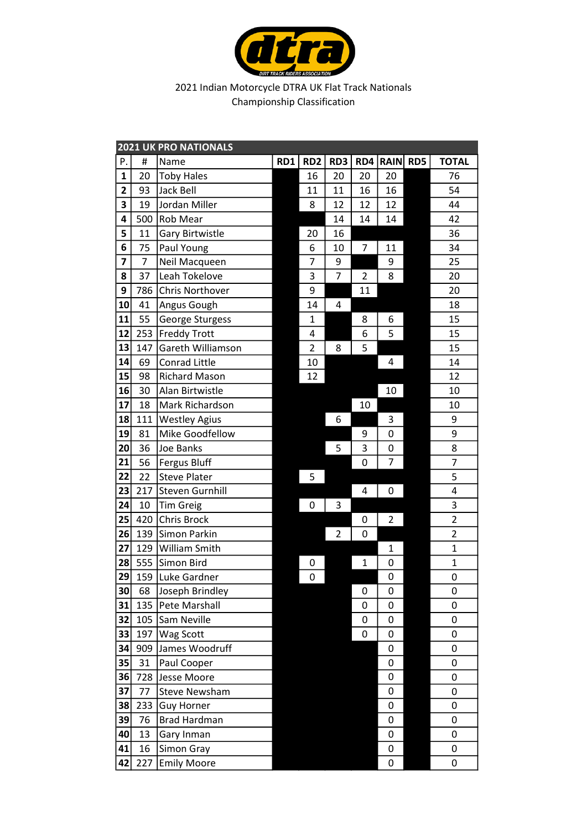

|                         | <b>2021 UK PRO NATIONALS</b> |                      |     |                 |                |                |                 |  |                         |  |  |
|-------------------------|------------------------------|----------------------|-----|-----------------|----------------|----------------|-----------------|--|-------------------------|--|--|
| Ρ.                      | #                            | Name                 | RD1 | RD <sub>2</sub> | RD3            | RD4            | <b>RAIN RD5</b> |  | <b>TOTAL</b>            |  |  |
| 1                       | 20                           | <b>Toby Hales</b>    |     | 16              | 20             | 20             | 20              |  | 76                      |  |  |
| $\overline{\mathbf{c}}$ | 93                           | <b>Jack Bell</b>     |     | 11              | 11             | 16             | 16              |  | 54                      |  |  |
| 3                       | 19                           | Jordan Miller        |     | 8               | 12             | 12             | 12              |  | 44                      |  |  |
| 4                       | 500                          | Rob Mear             |     |                 | 14             | 14             | 14              |  | 42                      |  |  |
| 5                       | 11                           | Gary Birtwistle      |     | 20              | 16             |                |                 |  | 36                      |  |  |
| 6                       | 75                           | Paul Young           |     | 6               | 10             | 7              | 11              |  | 34                      |  |  |
| 7                       | 7                            | Neil Macqueen        |     | 7               | 9              |                | 9               |  | 25                      |  |  |
| 8                       | 37                           | Leah Tokelove        |     | 3               | $\overline{7}$ | $\overline{2}$ | 8               |  | 20                      |  |  |
| 9                       | 786                          | Chris Northover      |     | 9               |                | 11             |                 |  | 20                      |  |  |
| 10                      | 41                           | Angus Gough          |     | 14              | 4              |                |                 |  | 18                      |  |  |
| 11                      | 55                           | George Sturgess      |     | $\mathbf 1$     |                | 8              | 6               |  | 15                      |  |  |
| 12                      | 253                          | <b>Freddy Trott</b>  |     | 4               |                | 6              | 5               |  | 15                      |  |  |
| 13                      | 147                          | Gareth Williamson    |     | $\overline{2}$  | 8              | 5              |                 |  | 15                      |  |  |
| 14                      | 69                           | Conrad Little        |     | 10              |                |                | 4               |  | 14                      |  |  |
| 15                      | 98                           | <b>Richard Mason</b> |     | 12              |                |                |                 |  | 12                      |  |  |
| 16                      | 30                           | Alan Birtwistle      |     |                 |                |                | 10              |  | 10                      |  |  |
| 17                      | 18                           | Mark Richardson      |     |                 |                | 10             |                 |  | 10                      |  |  |
| 18                      | 111                          | <b>Westley Agius</b> |     |                 | 6              |                | 3               |  | 9                       |  |  |
| 19                      | 81                           | Mike Goodfellow      |     |                 |                | 9              | 0               |  | 9                       |  |  |
| 20                      | 36                           | Joe Banks            |     |                 | 5              | 3              | 0               |  | 8                       |  |  |
| 21                      | 56                           | <b>Fergus Bluff</b>  |     |                 |                | 0              | 7               |  | 7                       |  |  |
| 22                      | 22                           | <b>Steve Plater</b>  |     | 5               |                |                |                 |  | 5                       |  |  |
| 23                      | 217                          | Steven Gurnhill      |     |                 |                | 4              | 0               |  | 4                       |  |  |
| 24                      | 10                           | <b>Tim Greig</b>     |     | 0               | 3              |                |                 |  | 3                       |  |  |
| 25                      | 420                          | Chris Brock          |     |                 |                | 0              | $\overline{2}$  |  | $\overline{2}$          |  |  |
| 26                      | 139                          | Simon Parkin         |     |                 | $\overline{2}$ | 0              |                 |  | $\overline{\mathbf{c}}$ |  |  |
| 27                      | 129                          | William Smith        |     |                 |                |                | $\mathbf 1$     |  | $\overline{1}$          |  |  |
| 28                      | 555                          | Simon Bird           |     | 0               |                | $\mathbf 1$    | 0               |  | $\mathbf{1}$            |  |  |
| 29                      | 159                          | Luke Gardner         |     | 0               |                |                | 0               |  | 0                       |  |  |
| 30                      | 68                           | Joseph Brindley      |     |                 |                | 0              | 0               |  | 0                       |  |  |
| 31                      | 135                          | Pete Marshall        |     |                 |                | 0              | 0               |  | 0                       |  |  |
| 32                      | 105                          | Sam Neville          |     |                 |                | 0              | 0               |  | 0                       |  |  |
| 33                      | 197                          | Wag Scott            |     |                 |                | 0              | 0               |  | 0                       |  |  |
| 34                      | 909                          | James Woodruff       |     |                 |                |                | 0               |  | 0                       |  |  |
| 35                      | 31                           | Paul Cooper          |     |                 |                |                | 0               |  | 0                       |  |  |
| 36                      | 728                          | Jesse Moore          |     |                 |                |                | 0               |  | 0                       |  |  |
| 37                      | 77                           | <b>Steve Newsham</b> |     |                 |                |                | 0               |  | 0                       |  |  |
| 38                      | 233                          | <b>Guy Horner</b>    |     |                 |                |                | 0               |  | 0                       |  |  |
| 39                      | 76                           | <b>Brad Hardman</b>  |     |                 |                |                | 0               |  | 0                       |  |  |
| 40                      | 13                           | Gary Inman           |     |                 |                |                | 0               |  | 0                       |  |  |
| 41                      | 16                           | Simon Gray           |     |                 |                |                | 0               |  | 0                       |  |  |
| 42                      | 227                          | <b>Emily Moore</b>   |     |                 |                |                | 0               |  | 0                       |  |  |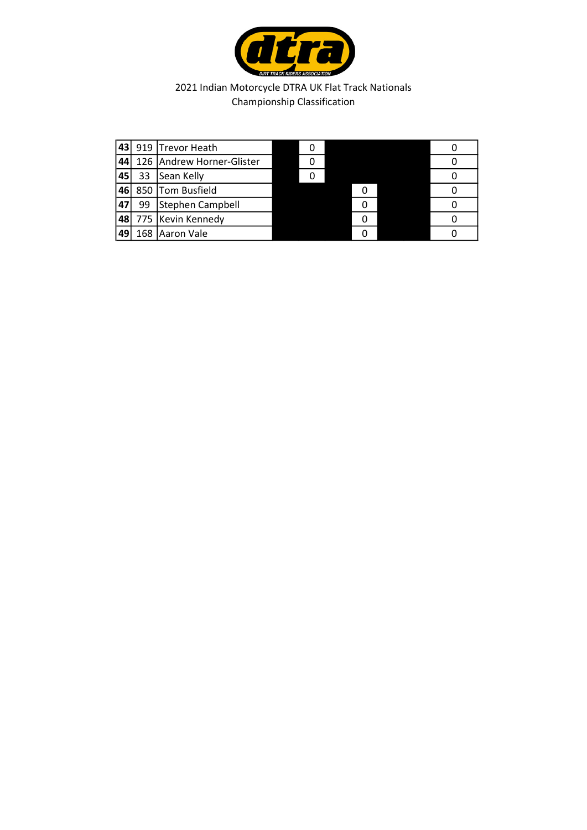

| 43 |     | 919 Trevor Heath          |  |  |  |
|----|-----|---------------------------|--|--|--|
| 44 |     | 126 Andrew Horner-Glister |  |  |  |
| 45 | 33  | Sean Kelly                |  |  |  |
| 46 |     | 850 Tom Busfield          |  |  |  |
| 47 | 99  | Stephen Campbell          |  |  |  |
| 48 |     | 775   Kevin Kennedy       |  |  |  |
| 49 | 168 | Aaron Vale                |  |  |  |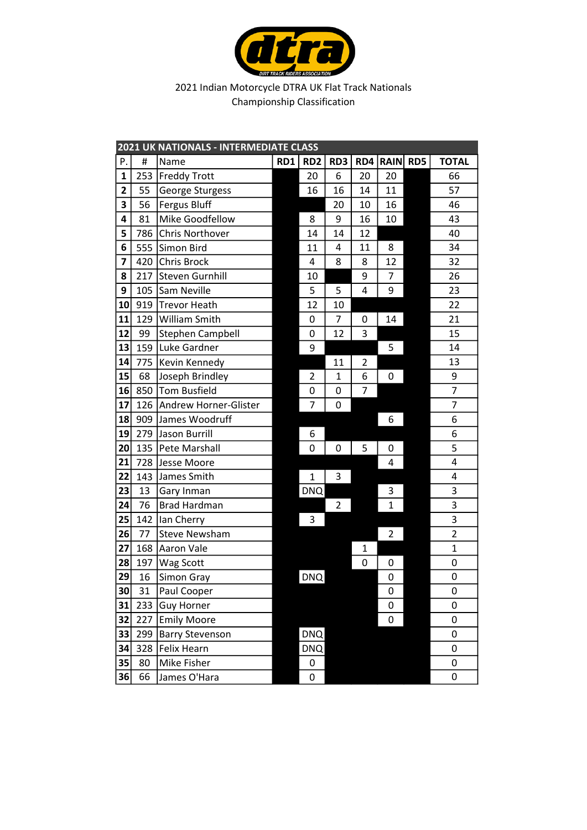

|                 |     | 2021 UK NATIONALS - INTERMEDIATE CLASS |     |                 |                |     |                |     |                |
|-----------------|-----|----------------------------------------|-----|-----------------|----------------|-----|----------------|-----|----------------|
| Ρ.              | #   | Name                                   | RD1 | RD <sub>2</sub> | RD3            | RD4 | <b>RAIN</b>    | RD5 | <b>TOTAL</b>   |
| $\mathbf{1}$    | 253 | <b>Freddy Trott</b>                    |     | 20              | 6              | 20  | 20             |     | 66             |
| 2               | 55  | George Sturgess                        |     | 16              | 16             | 14  | 11             |     | 57             |
| 3               | 56  | <b>Fergus Bluff</b>                    |     |                 | 20             | 10  | 16             |     | 46             |
| 4               | 81  | Mike Goodfellow                        |     | 8               | 9              | 16  | 10             |     | 43             |
| 5               | 786 | <b>Chris Northover</b>                 |     | 14              | 14             | 12  |                |     | 40             |
| 6               | 555 | Simon Bird                             |     | 11              | 4              | 11  | 8              |     | 34             |
| 7               | 420 | Chris Brock                            |     | 4               | 8              | 8   | 12             |     | 32             |
| 8               | 217 | Steven Gurnhill                        |     | 10              |                | 9   | 7              |     | 26             |
| 9               | 105 | Sam Neville                            |     | 5               | 5              | 4   | 9              |     | 23             |
| 10              | 919 | <b>Trevor Heath</b>                    |     | 12              | 10             |     |                |     | 22             |
| 11              | 129 | William Smith                          |     | 0               | $\overline{7}$ | 0   | 14             |     | 21             |
| 12              | 99  | Stephen Campbell                       |     | 0               | 12             | 3   |                |     | 15             |
| 13              | 159 | Luke Gardner                           |     | 9               |                |     | 5              |     | 14             |
| 14              | 775 | Kevin Kennedy                          |     |                 | 11             | 2   |                |     | 13             |
| 15              | 68  | Joseph Brindley                        |     | 2               | $\mathbf{1}$   | 6   | 0              |     | 9              |
| 16              | 850 | <b>Tom Busfield</b>                    |     | 0               | 0              | 7   |                |     | 7              |
| 17              | 126 | Andrew Horner-Glister                  |     | 7               | 0              |     |                |     | 7              |
| 18              | 909 | James Woodruff                         |     |                 |                |     | 6              |     | 6              |
| 19              | 279 | Jason Burrill                          |     | 6               |                |     |                |     | 6              |
| 20 <sup>°</sup> | 135 | Pete Marshall                          |     | 0               | 0              | 5   | 0              |     | 5              |
| 21              | 728 | Jesse Moore                            |     |                 |                |     | 4              |     | 4              |
| 22              | 143 | James Smith                            |     | 1               | 3              |     |                |     | 4              |
| 23              | 13  | Gary Inman                             |     | <b>DNQ</b>      |                |     | 3              |     | 3              |
| 24              | 76  | <b>Brad Hardman</b>                    |     |                 | $\overline{2}$ |     | $\overline{1}$ |     | 3              |
| 25              | 142 | Ian Cherry                             |     | 3               |                |     |                |     | 3              |
| 26              | 77  | <b>Steve Newsham</b>                   |     |                 |                |     | 2              |     | $\overline{c}$ |
| 27              | 168 | Aaron Vale                             |     |                 |                | 1   |                |     | $\mathbf{1}$   |
| 28              | 197 | Wag Scott                              |     |                 |                | 0   | 0              |     | 0              |
| 29              | 16  | Simon Gray                             |     | <b>DNQ</b>      |                |     | 0              |     | 0              |
| 30              | 31  | Paul Cooper                            |     |                 |                |     | 0<br>0         |     | 0              |
| 31              | 233 | <b>Guy Horner</b>                      |     |                 | 0              |     |                |     |                |
| 32              | 227 | <b>Emily Moore</b>                     |     |                 | 0              |     |                |     |                |
| 33              | 299 | <b>Barry Stevenson</b>                 |     |                 | 0              |     |                |     |                |
| 34              | 328 | Felix Hearn                            |     | DNQ             |                |     |                |     | 0              |
| 35              | 80  | Mike Fisher                            |     | 0               |                |     |                |     | 0              |
| 36              | 66  | James O'Hara                           |     | 0               |                | 0   |                |     |                |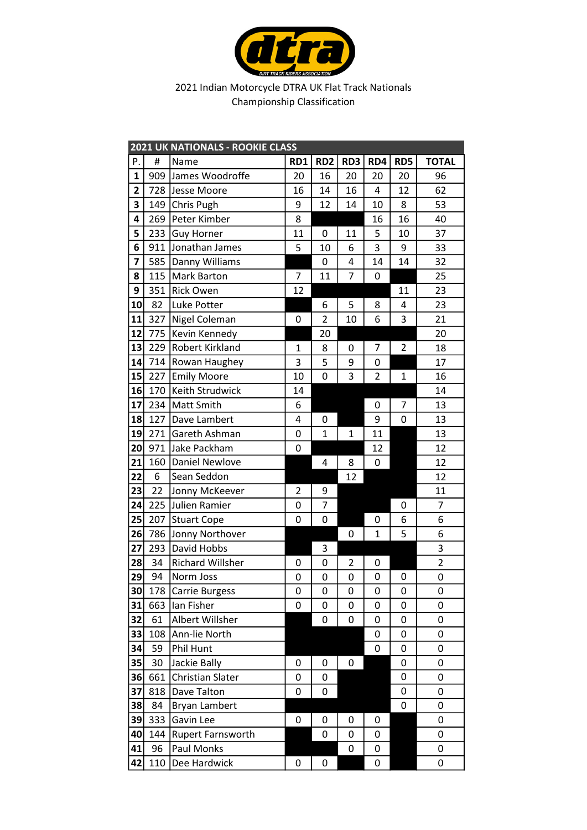

|                | <b>2021 UK NATIONALS - ROOKIE CLASS</b> |                         |                |                 |                |                     |                |                |  |  |  |
|----------------|-----------------------------------------|-------------------------|----------------|-----------------|----------------|---------------------|----------------|----------------|--|--|--|
| Ρ.             | #                                       | Name                    | RD1            | RD <sub>2</sub> | RD3            | RD4                 | RD5            | <b>TOTAL</b>   |  |  |  |
| $\mathbf{1}$   |                                         | 909 James Woodroffe     | 20             | 16              | 20             | 20                  | 20             | 96             |  |  |  |
| $\overline{2}$ |                                         | 728 Jesse Moore         | 16             | 14              | 16             | 4                   | 12             | 62             |  |  |  |
| 3              |                                         | 149 Chris Pugh          | 9              | 12              | 14             | 10                  | 8              | 53             |  |  |  |
| 4              |                                         | 269   Peter Kimber      | 8              |                 |                | 16                  | 16             | 40             |  |  |  |
| 5              |                                         | 233 Guy Horner          | 11             | 0               | 11             | 5                   | 10             | 37             |  |  |  |
| 6              | 911                                     | Jonathan James          | 5              | 10              | 6              | 3                   | 9              | 33             |  |  |  |
| 7              |                                         | 585 Danny Williams      |                | 0               | 4              | 14                  | 14             | 32             |  |  |  |
| 8              | 115                                     | Mark Barton             | 7              | 11              | 7              | 0                   |                | 25             |  |  |  |
| 9              | 351                                     | Rick Owen               | 12             |                 |                |                     | 11             | 23             |  |  |  |
| 10             | 82                                      | Luke Potter             |                | 6               | 5              | 8                   | 4              | 23             |  |  |  |
| 11             | 327                                     | Nigel Coleman           | 0              | $\overline{2}$  | 10             | 6                   | 3              | 21             |  |  |  |
| 12             | 775                                     | Kevin Kennedy           |                | 20              |                |                     |                | 20             |  |  |  |
| 13             | 229                                     | Robert Kirkland         | $\mathbf{1}$   | 8               | 0              | 7                   | $\overline{2}$ | 18             |  |  |  |
| 14             |                                         | 714   Rowan Haughey     | 3              | 5               | 9              | 0                   |                | 17             |  |  |  |
| 15             | 227                                     | <b>Emily Moore</b>      | 10             | 0               | 3              | $\overline{2}$      | $\mathbf{1}$   | 16             |  |  |  |
| 16             | 170                                     | Keith Strudwick         | 14             |                 |                |                     |                | 14             |  |  |  |
| 17             |                                         | 234 Matt Smith          | 6              |                 |                | 0                   | 7              | 13             |  |  |  |
| 18             | 127                                     | Dave Lambert            | 4              | 0               |                | 9                   | 0              | 13             |  |  |  |
| 19             | 271                                     | Gareth Ashman           | 0              | $\mathbf{1}$    | $\mathbf 1$    | 11                  |                | 13             |  |  |  |
| 20             | 971                                     | Jake Packham            | 0              |                 |                | 12                  |                | 12             |  |  |  |
| 21             | 160                                     | Daniel Newlove          |                | 4               | 8              | 0                   |                | 12             |  |  |  |
| 22             | 6                                       | Sean Seddon             |                |                 | 12             |                     |                | 12             |  |  |  |
| 23             | 22                                      | Jonny McKeever          | $\overline{2}$ | 9               |                |                     |                | 11             |  |  |  |
| 24             |                                         | 225 Julien Ramier       | 0              | 7               |                |                     | 0              | 7              |  |  |  |
| 25             | 207                                     | Stuart Cope             | 0              | 0               |                | 0                   | 6              | 6              |  |  |  |
| 26             |                                         | 786 Jonny Northover     |                |                 | 0              | $\mathbf{1}$        | 5              | 6              |  |  |  |
| 27             | 293                                     | David Hobbs             |                | 3               |                |                     |                | 3              |  |  |  |
| 28             | 34                                      | <b>Richard Willsher</b> | 0              | 0               | $\overline{2}$ | 0                   |                | $\overline{2}$ |  |  |  |
| 29             | 94                                      | Norm Joss               | 0              | 0               | $\pmb{0}$      | $\mathsf{O}\xspace$ | 0              | 0              |  |  |  |
| 30             | 178                                     | <b>Carrie Burgess</b>   | 0              | 0               | 0              | 0                   | 0              | 0              |  |  |  |
| 31             | 663                                     | lan Fisher              | 0              | 0               | 0              | 0                   | 0              | 0              |  |  |  |
| 32             | 61                                      | Albert Willsher         |                | 0               | 0              | 0                   | 0              | 0              |  |  |  |
| 33             | 108                                     | Ann-lie North           |                |                 |                | 0                   | 0              | 0              |  |  |  |
| 34             | 59                                      | Phil Hunt               |                |                 |                | 0                   | 0              | 0              |  |  |  |
| 35             | 30                                      | Jackie Bally            | 0              | 0               | 0              |                     | 0              | 0              |  |  |  |
| 36             | 661                                     | <b>Christian Slater</b> | 0              | 0               |                |                     | 0              | 0              |  |  |  |
| 37             | 818                                     | Dave Talton             | 0              | 0               |                |                     | 0              | 0              |  |  |  |
| 38             | 84                                      | Bryan Lambert           |                |                 |                |                     | 0              | 0              |  |  |  |
| 39             | 333                                     | Gavin Lee               | 0              | 0               | 0              | 0                   |                | 0              |  |  |  |
| 40             | 144                                     | Rupert Farnsworth       |                | 0               | 0              | 0                   |                | 0              |  |  |  |
| 41             | 96                                      | <b>Paul Monks</b>       |                |                 | 0              | 0                   |                | 0              |  |  |  |
| 42             | 110                                     | Dee Hardwick            | 0              | 0               |                | 0                   |                | 0              |  |  |  |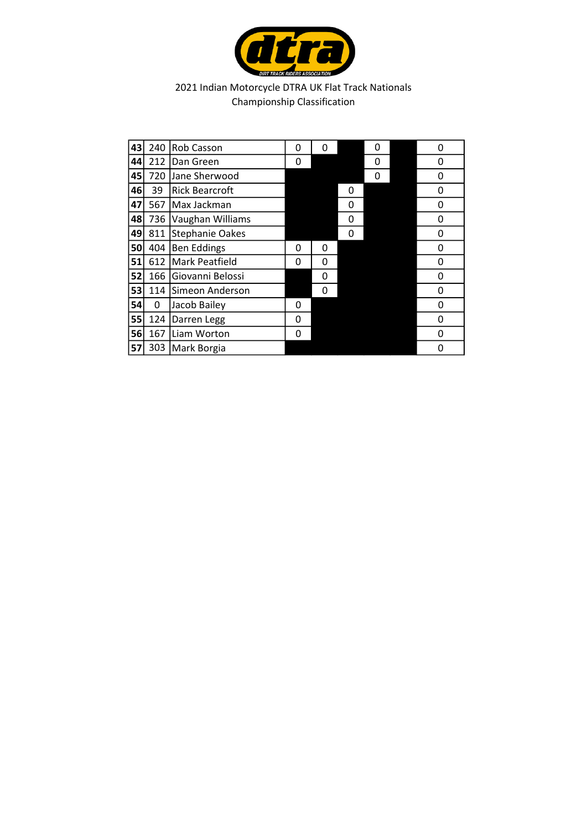

| 43 | 240 | Rob Casson             | 0 | 0 |   | 0 | 0 |
|----|-----|------------------------|---|---|---|---|---|
| 44 | 212 | Dan Green              | 0 |   |   | 0 | 0 |
| 45 | 720 | Jane Sherwood          |   |   |   | 0 | 0 |
| 46 | 39  | <b>Rick Bearcroft</b>  |   |   | 0 |   | 0 |
| 47 | 567 | Max Jackman            |   |   | 0 |   | 0 |
| 48 | 736 | Vaughan Williams       |   |   | 0 |   | 0 |
| 49 | 811 | <b>Stephanie Oakes</b> |   |   | 0 |   | 0 |
| 50 | 404 | <b>Ben Eddings</b>     | 0 | 0 |   |   | 0 |
| 51 | 612 | <b>Mark Peatfield</b>  | 0 | 0 |   |   | 0 |
| 52 | 166 | Giovanni Belossi       |   | 0 |   |   | 0 |
| 53 | 114 | Simeon Anderson        |   | 0 |   |   | 0 |
| 54 | 0   | Jacob Bailey           | 0 |   |   |   | 0 |
| 55 | 124 | Darren Legg            | 0 |   |   |   | 0 |
| 56 | 167 | Liam Worton            | 0 |   |   |   | 0 |
| 57 | 303 | Mark Borgia            |   |   |   |   | 0 |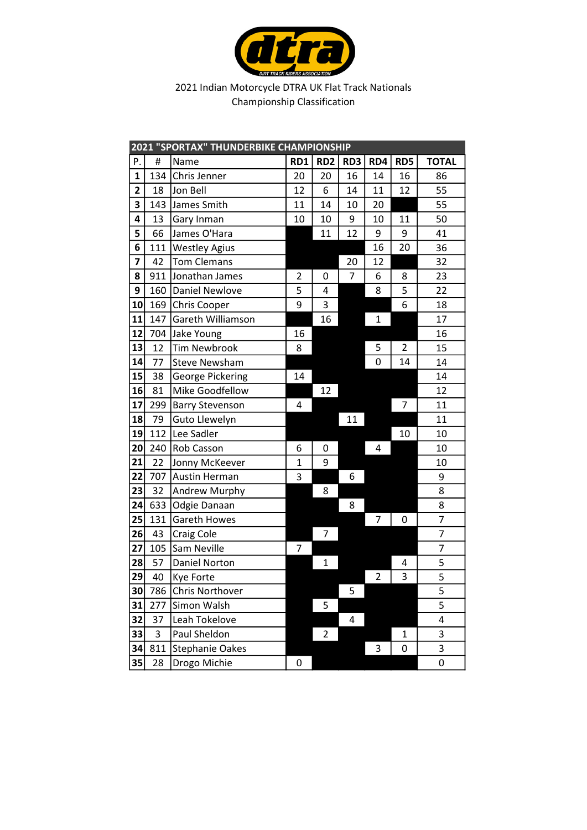

|              |     | 2021 "SPORTAX" THUNDERBIKE CHAMPIONSHIP |                |                 |     |                |              |                |
|--------------|-----|-----------------------------------------|----------------|-----------------|-----|----------------|--------------|----------------|
| Ρ.           | #   | Name                                    | RD1            | RD <sub>2</sub> | RD3 | RD4            | RD5          | <b>TOTAL</b>   |
| $\mathbf{1}$ | 134 | Chris Jenner                            | 20             | 20              | 16  | 14             | 16           | 86             |
| $\mathbf{2}$ | 18  | Jon Bell                                | 12             | 6               | 14  | 11             | 12           | 55             |
| 3            | 143 | James Smith                             | 11             | 14              | 10  | 20             |              | 55             |
| 4            | 13  | Gary Inman                              | 10             | 10              | 9   | 10             | 11           | 50             |
| 5            | 66  | James O'Hara                            |                | 11              | 12  | 9              | 9            | 41             |
| 6            |     | 111 Westley Agius                       |                |                 |     | 16             | 20           | 36             |
| 7            | 42  | <b>Tom Clemans</b>                      |                |                 | 20  | 12             |              | 32             |
| 8            |     | 911 Jonathan James                      | $\overline{2}$ | 0               | 7   | 6              | 8            | 23             |
| 9            |     | 160 Daniel Newlove                      | 5              | 4               |     | 8              | 5            | 22             |
| 10           | 169 | Chris Cooper                            | 9              | 3               |     |                | 6            | 18             |
| 11           | 147 | Gareth Williamson                       |                | 16              |     | $\mathbf{1}$   |              | 17             |
| 12           |     | 704 Jake Young                          | 16             |                 |     |                |              | 16             |
| 13           | 12  | <b>Tim Newbrook</b>                     | 8              |                 |     | 5              | 2            | 15             |
| 14           | 77  | <b>Steve Newsham</b>                    |                |                 |     | $\mathbf 0$    | 14           | 14             |
| 15           | 38  | George Pickering                        | 14             |                 |     |                |              | 14             |
| 16           | 81  | Mike Goodfellow                         |                | 12              |     |                |              | 12             |
| 17           | 299 | <b>Barry Stevenson</b>                  | 4              |                 |     |                | 7            | 11             |
| 18           | 79  | Guto Llewelyn                           |                |                 | 11  |                |              | 11             |
| 19           | 112 | Lee Sadler                              |                |                 |     |                | 10           | 10             |
| 20           | 240 | Rob Casson                              | 6              | 0               |     | 4              |              | 10             |
| 21           | 22  | Jonny McKeever                          | $\mathbf 1$    | 9               |     |                |              | 10             |
| 22           |     | 707 Austin Herman                       | 3              |                 | 6   |                |              | 9              |
| 23           | 32  | Andrew Murphy                           |                | 8               |     |                |              | 8              |
| 24           | 633 | Odgie Danaan                            |                |                 | 8   |                |              | 8              |
| 25           | 131 | Gareth Howes                            |                |                 |     | $\overline{7}$ | 0            | $\overline{7}$ |
| 26           | 43  | <b>Craig Cole</b>                       |                | 7               |     |                |              | $\overline{7}$ |
| 27           |     | 105 Sam Neville                         | 7              |                 |     |                |              | $\overline{7}$ |
| 28           | 57  | Daniel Norton                           |                | 1               |     |                | 4            | 5              |
| 29           | 40  | <b>Kye Forte</b>                        |                |                 |     | $\overline{2}$ | 3            | 5              |
| 30           | 786 | <b>Chris Northover</b>                  |                |                 | 5   |                |              | 5              |
| 31           | 277 | Simon Walsh                             |                | 5               |     |                |              | 5              |
| 32           | 37  | Leah Tokelove                           |                |                 | 4   |                |              | 4              |
| 33           | 3   | Paul Sheldon                            |                | 2               |     |                | $\mathbf{1}$ | 3              |
| 34           | 811 | <b>Stephanie Oakes</b>                  |                |                 |     | 3              | 0            | 3              |
| 35           | 28  | Drogo Michie                            | 0              |                 |     |                |              | 0              |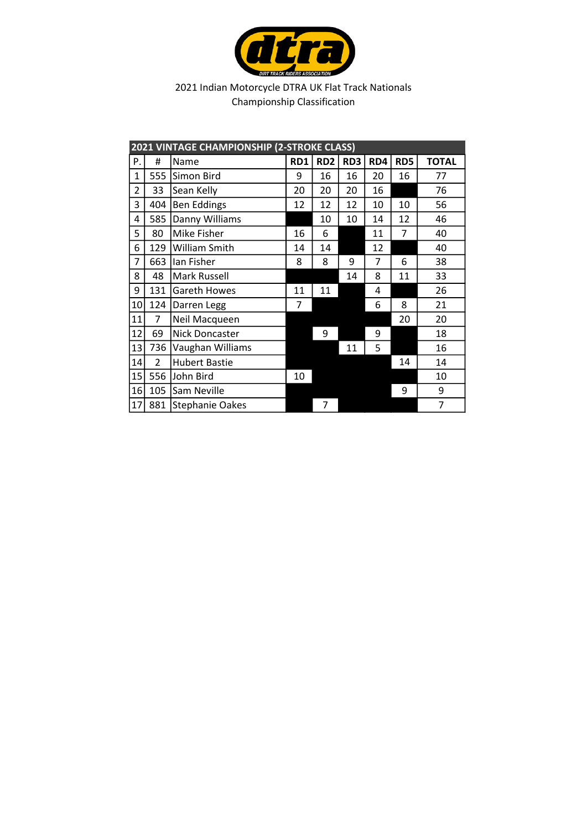

|              |                | 2021 VINTAGE CHAMPIONSHIP (2-STROKE CLASS) |     |                 |     |     |     |              |
|--------------|----------------|--------------------------------------------|-----|-----------------|-----|-----|-----|--------------|
| Ρ.           | #              | Name                                       | RD1 | RD <sub>2</sub> | RD3 | RD4 | RD5 | <b>TOTAL</b> |
| $\mathbf{1}$ |                | 555 Simon Bird                             | 9   | 16              | 16  | 20  | 16  | 77           |
| 2            | 33             | Sean Kelly                                 | 20  | 20              | 20  | 16  |     | 76           |
| 3            | 404            | <b>Ben Eddings</b>                         | 12  | 12              | 12  | 10  | 10  | 56           |
| 4            | 585            | Danny Williams                             |     | 10              | 10  | 14  | 12  | 46           |
| 5            | 80             | Mike Fisher                                | 16  | 6               |     | 11  | 7   | 40           |
| 6            | 129            | William Smith                              | 14  | 14              |     | 12  |     | 40           |
| 7            | 663            | Ian Fisher                                 | 8   | 8               | 9   | 7   | 6   | 38           |
| 8            | 48             | Mark Russell                               |     |                 | 14  | 8   | 11  | 33           |
| 9            | 131            | <b>Gareth Howes</b>                        | 11  | 11              |     | 4   |     | 26           |
| 10           | 124            | Darren Legg                                | 7   |                 |     | 6   | 8   | 21           |
| 11           | 7              | Neil Macqueen                              |     |                 |     |     | 20  | 20           |
| 12           | 69             | Nick Doncaster                             |     | 9               |     | 9   |     | 18           |
| 13           | 736            | Vaughan Williams                           |     |                 | 11  | 5   |     | 16           |
| 14           | $\overline{2}$ | <b>Hubert Bastie</b>                       |     |                 |     |     | 14  | 14           |
| 15           | 556            | John Bird                                  | 10  |                 |     |     |     | 10           |
| 16           | 105            | Sam Neville                                |     |                 |     |     | 9   | 9            |
| 17           | 881            | <b>Stephanie Oakes</b>                     |     | 7               |     |     |     | 7            |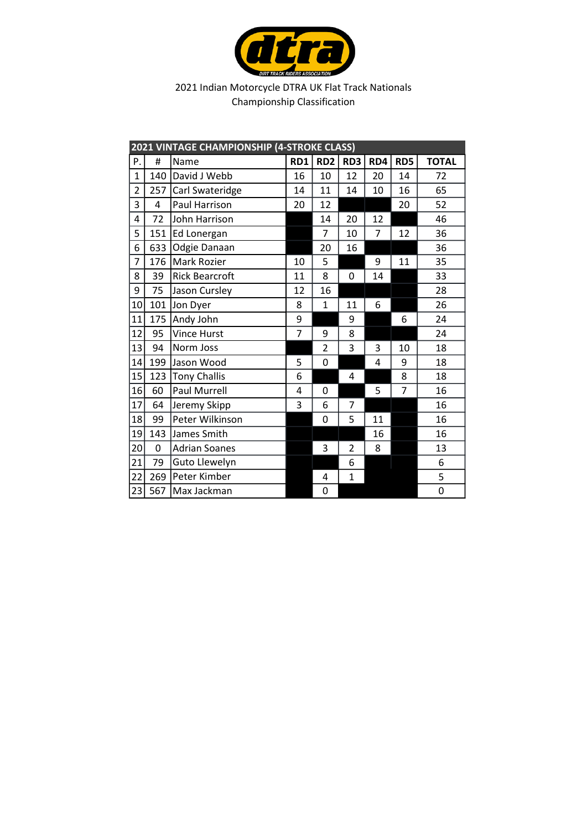

|                | 2021 VINTAGE CHAMPIONSHIP (4-STROKE CLASS) |                       |                |                 |                |                |     |              |  |  |  |  |
|----------------|--------------------------------------------|-----------------------|----------------|-----------------|----------------|----------------|-----|--------------|--|--|--|--|
| P.             | #                                          | Name                  | RD1            | RD <sub>2</sub> | RD3            | RD4            | RD5 | <b>TOTAL</b> |  |  |  |  |
| $\mathbf{1}$   | 140                                        | David J Webb          | 16             | 10              | 12             | 20             | 14  | 72           |  |  |  |  |
| $\overline{2}$ | 257                                        | Carl Swateridge       | 14             | 11              | 14             | 10             | 16  | 65           |  |  |  |  |
| 3              | 4                                          | Paul Harrison         | 20             | 12              |                |                | 20  | 52           |  |  |  |  |
| 4              | 72                                         | John Harrison         |                | 14              | 20             | 12             |     | 46           |  |  |  |  |
| 5              | 151                                        | Ed Lonergan           |                | 7               | 10             | 7              | 12  | 36           |  |  |  |  |
| 6              | 633                                        | Odgie Danaan          |                | 20              | 16             |                |     | 36           |  |  |  |  |
| $\overline{7}$ | 176                                        | <b>Mark Rozier</b>    | 10             | 5               |                | 9              | 11  | 35           |  |  |  |  |
| 8              | 39                                         | <b>Rick Bearcroft</b> | 11             | 8               | 0              | 14             |     | 33           |  |  |  |  |
| 9              | 75                                         | Jason Cursley         | 12             | 16              |                |                |     | 28           |  |  |  |  |
| 10             | 101                                        | Jon Dyer              | 8              | $\mathbf{1}$    | 11             | 6              |     | 26           |  |  |  |  |
| 11             | 175                                        | Andy John             | 9              |                 | 9              |                | 6   | 24           |  |  |  |  |
| 12             | 95                                         | <b>Vince Hurst</b>    | $\overline{7}$ | 9               | 8              |                |     | 24           |  |  |  |  |
| 13             | 94                                         | Norm Joss             |                | $\overline{2}$  | 3              | 3              | 10  | 18           |  |  |  |  |
| 14             | 199                                        | Jason Wood            | 5              | 0               |                | $\overline{4}$ | 9   | 18           |  |  |  |  |
| 15             | 123                                        | <b>Tony Challis</b>   | 6              |                 | 4              |                | 8   | 18           |  |  |  |  |
| 16             | 60                                         | <b>Paul Murrell</b>   | 4              | 0               |                | 5              | 7   | 16           |  |  |  |  |
| 17             | 64                                         | Jeremy Skipp          | 3              | 6               | 7              |                |     | 16           |  |  |  |  |
| 18             | 99                                         | Peter Wilkinson       |                | 0               | 5              | 11             |     | 16           |  |  |  |  |
| 19             | 143                                        | James Smith           |                |                 |                | 16             |     | 16           |  |  |  |  |
| 20             | 0                                          | <b>Adrian Soanes</b>  |                | 3               | $\overline{2}$ | 8              |     | 13           |  |  |  |  |
| 21             | 79                                         | Guto Llewelyn         |                |                 | 6              |                |     | 6            |  |  |  |  |
| 22             | 269                                        | Peter Kimber          |                | 4               | $\mathbf{1}$   |                |     | 5            |  |  |  |  |
| 23             | 567                                        | Max Jackman           |                | 0               |                |                |     | 0            |  |  |  |  |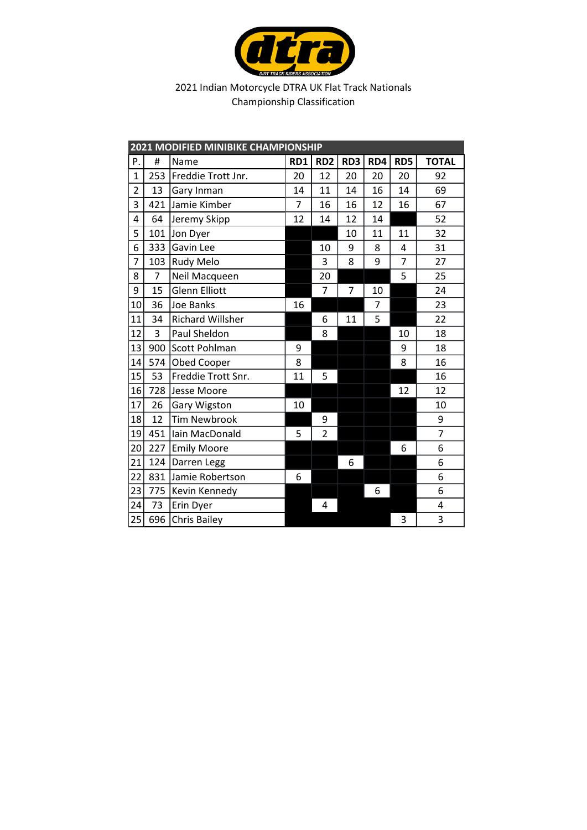

|                |                | 2021 MODIFIED MINIBIKE CHAMPIONSHIP |     |                 |     |     |                |                |
|----------------|----------------|-------------------------------------|-----|-----------------|-----|-----|----------------|----------------|
| P.             | #              | Name                                | RD1 | RD <sub>2</sub> | RD3 | RD4 | RD5            | <b>TOTAL</b>   |
| $\mathbf{1}$   | 253            | Freddie Trott Jnr.                  | 20  | 12              | 20  | 20  | 20             | 92             |
| $\overline{2}$ | 13             | Gary Inman                          | 14  | 11              | 14  | 16  | 14             | 69             |
| 3              | 421            | Jamie Kimber                        | 7   | 16              | 16  | 12  | 16             | 67             |
| 4              | 64             | Jeremy Skipp                        | 12  | 14              | 12  | 14  |                | 52             |
| 5              | 101            | Jon Dyer                            |     |                 | 10  | 11  | 11             | 32             |
| 6              | 333            | Gavin Lee                           |     | 10              | 9   | 8   | 4              | 31             |
| $\overline{7}$ | 103            | <b>Rudy Melo</b>                    |     | 3               | 8   | 9   | $\overline{7}$ | 27             |
| 8              | $\overline{7}$ | Neil Macqueen                       |     | 20              |     |     | 5              | 25             |
| 9              | 15             | <b>Glenn Elliott</b>                |     | $\overline{7}$  | 7   | 10  |                | 24             |
| 10             | 36             | Joe Banks                           | 16  |                 |     | 7   |                | 23             |
| 11             | 34             | Richard Willsher                    |     | 6               | 11  | 5   |                | 22             |
| 12             | 3              | Paul Sheldon                        |     | 8               |     |     | 10             | 18             |
| 13             | 900            | Scott Pohlman                       | 9   |                 |     |     | 9              | 18             |
| 14             | 574            | Obed Cooper                         | 8   |                 |     |     | 8              | 16             |
| 15             | 53             | Freddie Trott Snr.                  | 11  | 5               |     |     |                | 16             |
| 16             | 728            | Jesse Moore                         |     |                 |     |     | 12             | 12             |
| 17             | 26             | Gary Wigston                        | 10  |                 |     |     |                | 10             |
| 18             | 12             | <b>Tim Newbrook</b>                 |     | 9               |     |     |                | 9              |
| 19             | 451            | Iain MacDonald                      | 5   | $\overline{2}$  |     |     |                | $\overline{7}$ |
| 20             | 227            | <b>Emily Moore</b>                  |     |                 |     |     | 6              | 6              |
| 21             | 124            | Darren Legg                         |     |                 | 6   |     |                | 6              |
| 22             | 831            | Jamie Robertson                     | 6   |                 |     |     |                | 6              |
| 23             | 775            | Kevin Kennedy                       |     |                 |     | 6   |                | 6              |
| 24             | 73             | Erin Dyer                           |     | 4               |     |     |                | 4              |
| 25             | 696            | Chris Bailey                        |     |                 |     |     | 3              | 3              |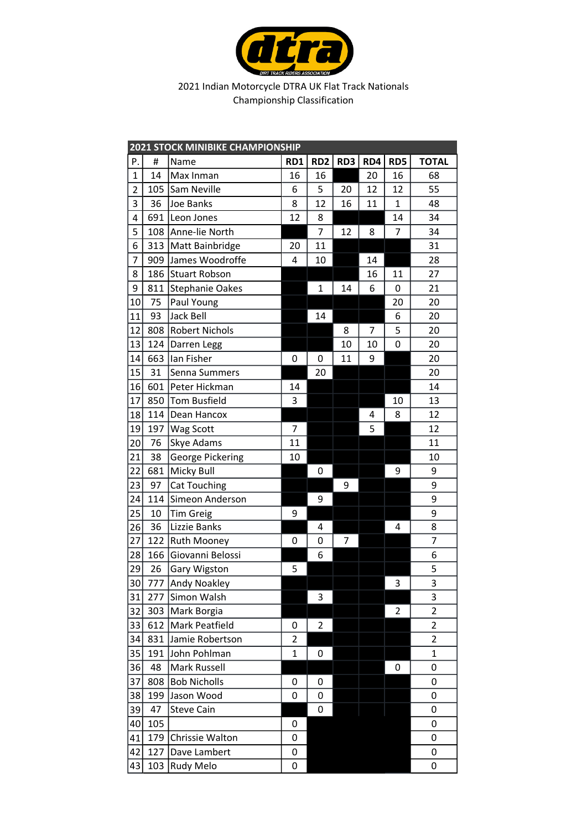

|                 | <b>2021 STOCK MINIBIKE CHAMPIONSHIP</b> |                         |                |                 |     |     |                |                         |  |  |
|-----------------|-----------------------------------------|-------------------------|----------------|-----------------|-----|-----|----------------|-------------------------|--|--|
| P.              | #                                       | Name                    | RD1            | RD <sub>2</sub> | RD3 | RD4 | RD5            | <b>TOTAL</b>            |  |  |
| $\mathbf{1}$    | 14                                      | Max Inman               | 16             | 16              |     | 20  | 16             | 68                      |  |  |
| $\overline{2}$  | 105                                     | Sam Neville             | 6              | 5               | 20  | 12  | 12             | 55                      |  |  |
| 3               | 36                                      | Joe Banks               | 8              | 12              | 16  | 11  | 1              | 48                      |  |  |
| 4               | 691                                     | Leon Jones              | 12             | 8               |     |     | 14             | 34                      |  |  |
| 5               | 108                                     | Anne-lie North          |                | $\overline{7}$  | 12  | 8   | 7              | 34                      |  |  |
| 6               | 313                                     | Matt Bainbridge         | 20             | 11              |     |     |                | 31                      |  |  |
| 7               | 909                                     | James Woodroffe         | 4              | 10              |     | 14  |                | 28                      |  |  |
| 8               | 186                                     | <b>Stuart Robson</b>    |                |                 |     | 16  | 11             | 27                      |  |  |
| 9               | 811                                     | <b>Stephanie Oakes</b>  |                | $\mathbf{1}$    | 14  | 6   | 0              | 21                      |  |  |
| 10              | 75                                      | Paul Young              |                |                 |     |     | 20             | 20                      |  |  |
| 11              | 93                                      | Jack Bell               |                | 14              |     |     | 6              | 20                      |  |  |
| 12              | 808                                     | <b>Robert Nichols</b>   |                |                 | 8   | 7   | 5              | 20                      |  |  |
| 13              | 124                                     | Darren Legg             |                |                 | 10  | 10  | 0              | 20                      |  |  |
| 14              | 663                                     | Ian Fisher              | 0              | 0               | 11  | 9   |                | 20                      |  |  |
| 15              | 31                                      | Senna Summers           |                | 20              |     |     |                | 20                      |  |  |
| 16              | 601                                     | Peter Hickman           | 14             |                 |     |     |                | 14                      |  |  |
| 17              | 850                                     | Tom Busfield            | 3              |                 |     |     | 10             | 13                      |  |  |
| 18              | 114                                     | Dean Hancox             |                |                 |     | 4   | 8              | 12                      |  |  |
| 19              | 197                                     | <b>Wag Scott</b>        | 7              |                 |     | 5   |                | 12                      |  |  |
| 20              | 76                                      | Skye Adams              | 11             |                 |     |     |                | 11                      |  |  |
| 21              | 38                                      | <b>George Pickering</b> | 10             |                 |     |     |                | 10                      |  |  |
| 22              | 681                                     | <b>Micky Bull</b>       |                | 0               |     |     | 9              | 9                       |  |  |
| 23              | 97                                      | <b>Cat Touching</b>     |                |                 | 9   |     |                | 9                       |  |  |
| 24              | 114                                     | Simeon Anderson         |                | 9               |     |     |                | 9                       |  |  |
| 25              | 10                                      | <b>Tim Greig</b>        | 9              |                 |     |     |                | 9                       |  |  |
| 26              | 36                                      | Lizzie Banks            |                | 4               |     |     | 4              | 8                       |  |  |
| 27              | 122                                     | <b>Ruth Mooney</b>      | 0              | 0               | 7   |     |                | 7                       |  |  |
| 28              | 166                                     | Giovanni Belossi        |                | 6               |     |     |                | 6                       |  |  |
| 29              | 26                                      | Gary Wigston            | 5              |                 |     |     |                | 5                       |  |  |
| $\overline{30}$ |                                         | 777 Andy Noakley        |                |                 |     |     | 3              | $\overline{\mathbf{3}}$ |  |  |
| 31              | 277                                     | Simon Walsh             |                | 3               |     |     |                | 3                       |  |  |
| 32              | 303                                     | Mark Borgia             |                |                 |     |     | $\overline{2}$ | $\overline{2}$          |  |  |
| 33              | 612                                     | Mark Peatfield          | 0              | 2               |     |     |                | $\overline{2}$          |  |  |
| 34              | 831                                     | Jamie Robertson         | $\overline{2}$ |                 |     |     |                | $\overline{2}$          |  |  |
| 35              | 191                                     | John Pohlman            | 1              | 0               |     |     |                | $\mathbf 1$             |  |  |
| 36              | 48                                      | Mark Russell            |                |                 |     |     | 0              | 0                       |  |  |
| 37              | 808                                     | <b>Bob Nicholls</b>     | 0              | 0               |     |     |                | 0                       |  |  |
| 38              | 199                                     | Jason Wood              | 0              | 0               |     |     |                | 0                       |  |  |
| 39              | 47                                      | <b>Steve Cain</b>       |                | 0               |     |     |                | 0                       |  |  |
| 40              | 105                                     |                         | 0              |                 |     |     |                | 0                       |  |  |
| 41              | 179                                     | Chrissie Walton         | 0              |                 |     |     |                | 0                       |  |  |
| 42              | 127                                     | Dave Lambert            | 0              |                 |     |     |                | 0                       |  |  |
| 43              | 103                                     | <b>Rudy Melo</b>        | 0              |                 |     |     |                | 0                       |  |  |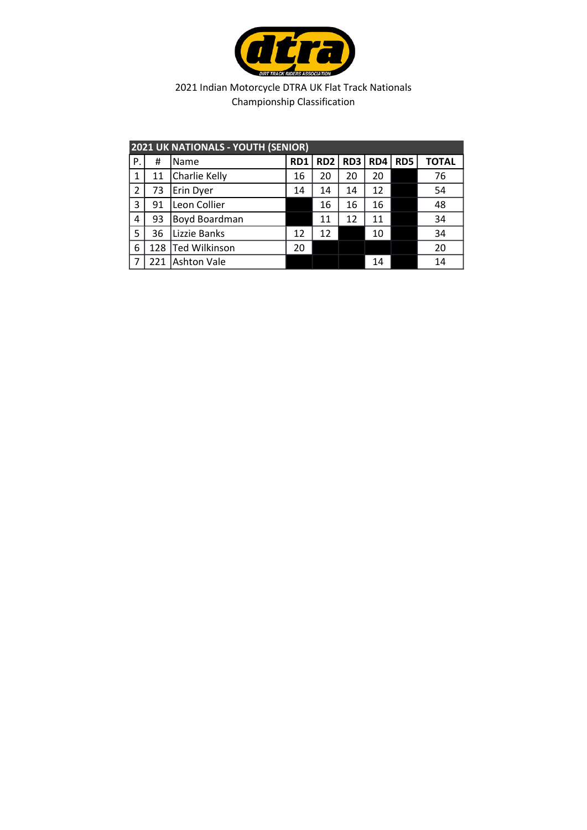

|                | <b>2021 UK NATIONALS - YOUTH (SENIOR)</b> |                      |     |                 |     |     |     |              |  |  |  |
|----------------|-------------------------------------------|----------------------|-----|-----------------|-----|-----|-----|--------------|--|--|--|
| P.             | #                                         | Name                 | RD1 | RD <sub>2</sub> | RD3 | RD4 | RD5 | <b>TOTAL</b> |  |  |  |
| 1              | 11                                        | Charlie Kelly        | 16  | 20              | 20  | 20  |     | 76           |  |  |  |
| $\overline{2}$ | 73                                        | Erin Dyer            | 14  | 14              | 14  | 12  |     | 54           |  |  |  |
| 3              | 91                                        | Leon Collier         |     | 16              | 16  | 16  |     | 48           |  |  |  |
| 4              | 93                                        | Boyd Boardman        |     | 11              | 12  | 11  |     | 34           |  |  |  |
| -5             | 36                                        | Lizzie Banks         | 12  | 12              |     | 10  |     | 34           |  |  |  |
| 6              | 128                                       | <b>Ted Wilkinson</b> | 20  |                 |     |     |     | 20           |  |  |  |
|                | 221                                       | <b>Ashton Vale</b>   |     |                 |     | 14  |     | 14           |  |  |  |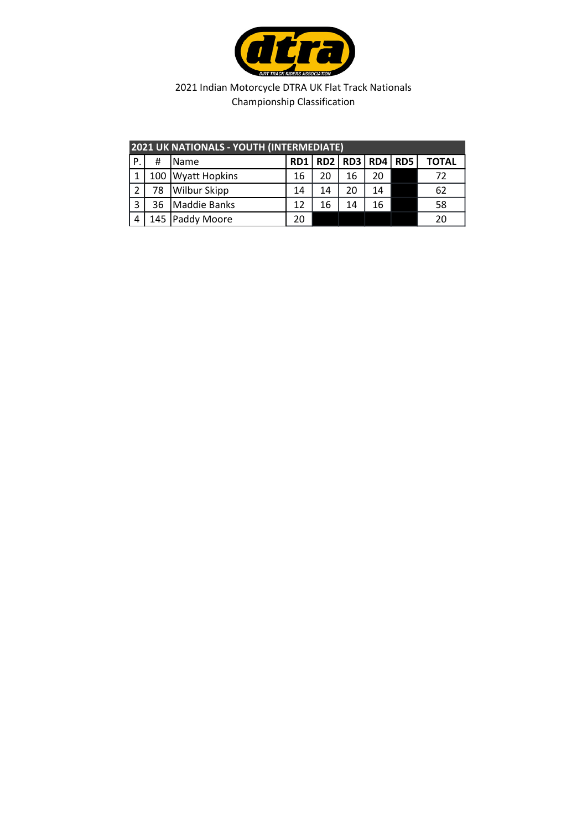

| <b>2021 UK NATIONALS - YOUTH (INTERMEDIATE)</b> |    |                     |                 |    |                 |    |                 |       |  |
|-------------------------------------------------|----|---------------------|-----------------|----|-----------------|----|-----------------|-------|--|
| Ρ.                                              | Ħ  | <b>IName</b>        | RD <sub>1</sub> |    | RD2   RD3   RD4 |    | RD <sub>5</sub> | ΤΟΤΑL |  |
|                                                 |    | 100 Wyatt Hopkins   | 16              | 20 | 16              | 20 |                 | 72    |  |
| $\overline{2}$                                  | 78 | <b>Wilbur Skipp</b> | 14              | 14 | 20              | 14 |                 | 62    |  |
| 3                                               | 36 | <b>Maddie Banks</b> | 12              | 16 | 14              | 16 |                 | 58    |  |
|                                                 |    | 145   Paddy Moore   | 20              |    |                 |    |                 | 20    |  |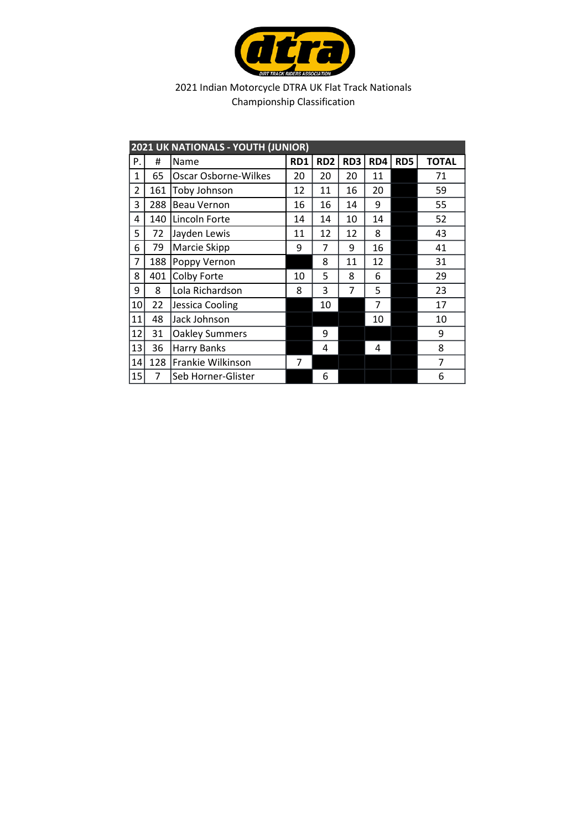

| 2021 UK NATIONALS - YOUTH (JUNIOR) |     |                             |     |                 |     |                |     |              |
|------------------------------------|-----|-----------------------------|-----|-----------------|-----|----------------|-----|--------------|
| Ρ.                                 | #   | Name                        | RD1 | RD <sub>2</sub> | RD3 | RD4            | RD5 | <b>TOTAL</b> |
| 1                                  | 65  | <b>Oscar Osborne-Wilkes</b> | 20  | 20              | 20  | 11             |     | 71           |
| 2                                  | 161 | Toby Johnson                | 12  | 11              | 16  | 20             |     | 59           |
| 3                                  | 288 | <b>Beau Vernon</b>          | 16  | 16              | 14  | 9              |     | 55           |
| 4                                  | 140 | Lincoln Forte               | 14  | 14              | 10  | 14             |     | 52           |
| 5                                  | 72  | Jayden Lewis                | 11  | 12              | 12  | 8              |     | 43           |
| 6                                  | 79  | Marcie Skipp                | 9   | 7               | 9   | 16             |     | 41           |
| 7                                  | 188 | Poppy Vernon                |     | 8               | 11  | 12             |     | 31           |
| 8                                  | 401 | Colby Forte                 | 10  | 5               | 8   | 6              |     | 29           |
| 9                                  | 8   | Lola Richardson             | 8   | 3               | 7   | 5              |     | 23           |
| 10                                 | 22  | Jessica Cooling             |     | 10              |     | $\overline{7}$ |     | 17           |
| 11                                 | 48  | Jack Johnson                |     |                 |     | 10             |     | 10           |
| 12                                 | 31  | <b>Oakley Summers</b>       |     | 9               |     |                |     | 9            |
| 13                                 | 36  | <b>Harry Banks</b>          |     | 4               |     | 4              |     | 8            |
| 14                                 | 128 | Frankie Wilkinson           | 7   |                 |     |                |     | 7            |
| 15                                 | 7   | Seb Horner-Glister          |     | 6               |     |                |     | 6            |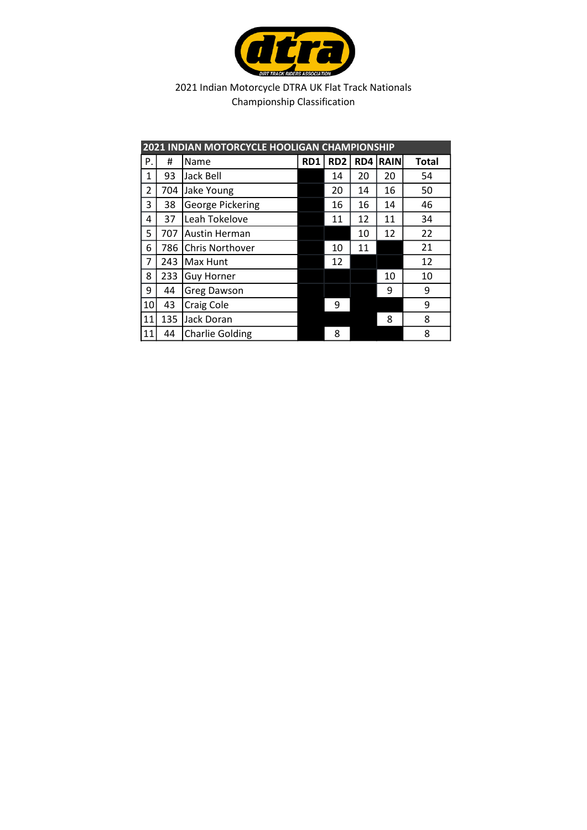

| 2021 INDIAN MOTORCYCLE HOOLIGAN CHAMPIONSHIP |     |                         |     |                 |     |      |              |  |
|----------------------------------------------|-----|-------------------------|-----|-----------------|-----|------|--------------|--|
| Ρ.                                           | Ħ   | Name                    | RD1 | RD <sub>2</sub> | RD4 | RAIN | <b>Total</b> |  |
| $\mathbf{1}$                                 | 93  | Jack Bell               |     | 14              | 20  | 20   | 54           |  |
| $\overline{2}$                               | 704 | Jake Young              |     | 20              | 14  | 16   | 50           |  |
| 3                                            | 38  | <b>George Pickering</b> |     | 16              | 16  | 14   | 46           |  |
| 4                                            | 37  | Leah Tokelove           |     | 11              | 12  | 11   | 34           |  |
| 5                                            | 707 | Austin Herman           |     |                 | 10  | 12   | 22           |  |
| 6                                            | 786 | <b>Chris Northover</b>  |     | 10              | 11  |      | 21           |  |
| 7                                            | 243 | Max Hunt                |     | 12              |     |      | 12           |  |
| 8                                            | 233 | <b>Guy Horner</b>       |     |                 |     | 10   | 10           |  |
| 9                                            | 44  | <b>Greg Dawson</b>      |     |                 |     | 9    | 9            |  |
| 10                                           | 43  | <b>Craig Cole</b>       |     | 9               |     |      | 9            |  |
| 11                                           | 135 | Jack Doran              |     |                 |     | 8    | 8            |  |
| 11                                           | 44  | <b>Charlie Golding</b>  |     | 8               |     |      | 8            |  |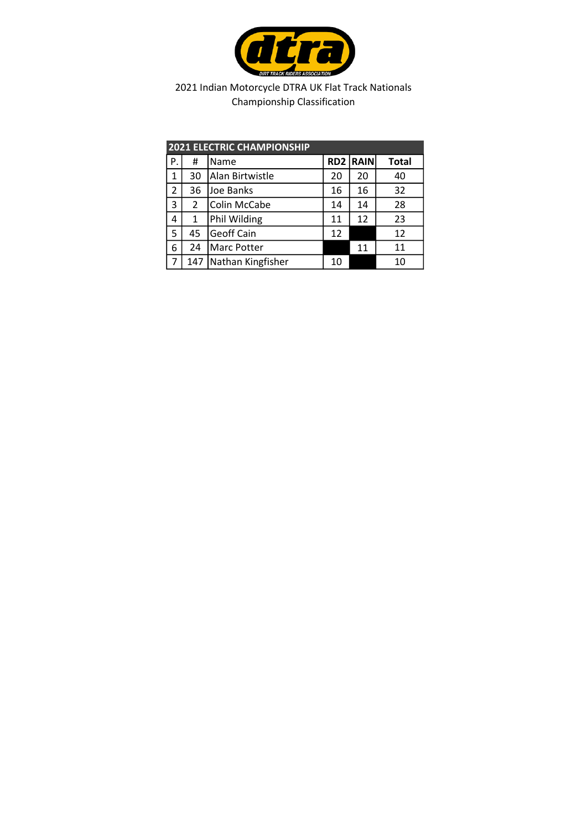

| <b>2021 ELECTRIC CHAMPIONSHIP</b> |                |                   |    |                 |              |  |  |  |
|-----------------------------------|----------------|-------------------|----|-----------------|--------------|--|--|--|
| Ρ.                                | #              | Name              |    | <b>RD2 RAIN</b> | <b>Total</b> |  |  |  |
| 1                                 | 30             | Alan Birtwistle   | 20 | 20              | 40           |  |  |  |
| 2                                 | 36             | Joe Banks         | 16 | 16              | 32           |  |  |  |
| 3                                 | $\overline{2}$ | Colin McCabe      | 14 | 14              | 28           |  |  |  |
| 4                                 | $\mathbf{1}$   | Phil Wilding      | 11 | 12              | 23           |  |  |  |
| 5                                 | 45             | Geoff Cain        | 12 |                 | 12           |  |  |  |
| 6                                 | 24             | Marc Potter       |    | 11              | 11           |  |  |  |
|                                   | 147            | Nathan Kingfisher | 10 |                 | 10           |  |  |  |